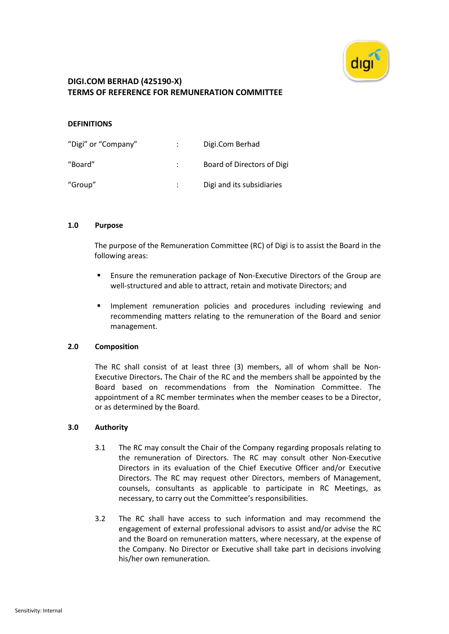

#### **DEFINITIONS**

| "Digi" or "Company" | Digi.Com Berhad            |
|---------------------|----------------------------|
| "Board"             | Board of Directors of Digi |
| "Group"             | Digi and its subsidiaries  |

#### **1.0 Purpose**

The purpose of the Remuneration Committee (RC) of Digi is to assist the Board in the following areas:

- Ensure the remuneration package of Non-Executive Directors of the Group are well-structured and able to attract, retain and motivate Directors; and
- Implement remuneration policies and procedures including reviewing and recommending matters relating to the remuneration of the Board and senior management.

### **2.0 Composition**

The RC shall consist of at least three (3) members, all of whom shall be Non-Executive Directors**.** The Chair of the RC and the members shall be appointed by the Board based on recommendations from the Nomination Committee. The appointment of a RC member terminates when the member ceases to be a Director, or as determined by the Board.

### **3.0 Authority**

- 3.1 The RC may consult the Chair of the Company regarding proposals relating to the remuneration of Directors. The RC may consult other Non-Executive Directors in its evaluation of the Chief Executive Officer and/or Executive Directors. The RC may request other Directors, members of Management, counsels, consultants as applicable to participate in RC Meetings, as necessary, to carry out the Committee's responsibilities.
- 3.2 The RC shall have access to such information and may recommend the engagement of external professional advisors to assist and/or advise the RC and the Board on remuneration matters, where necessary, at the expense of the Company. No Director or Executive shall take part in decisions involving his/her own remuneration.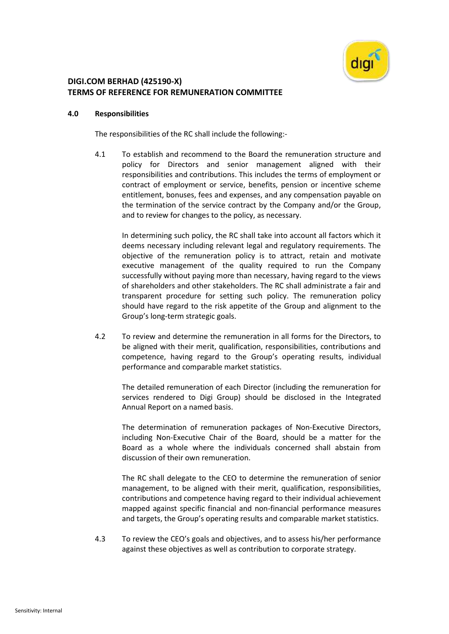

#### **4.0 Responsibilities**

The responsibilities of the RC shall include the following:-

4.1 To establish and recommend to the Board the remuneration structure and policy for Directors and senior management aligned with their responsibilities and contributions. This includes the terms of employment or contract of employment or service, benefits, pension or incentive scheme entitlement, bonuses, fees and expenses, and any compensation payable on the termination of the service contract by the Company and/or the Group, and to review for changes to the policy, as necessary.

In determining such policy, the RC shall take into account all factors which it deems necessary including relevant legal and regulatory requirements. The objective of the remuneration policy is to attract, retain and motivate executive management of the quality required to run the Company successfully without paying more than necessary, having regard to the views of shareholders and other stakeholders. The RC shall administrate a fair and transparent procedure for setting such policy. The remuneration policy should have regard to the risk appetite of the Group and alignment to the Group's long-term strategic goals.

4.2 To review and determine the remuneration in all forms for the Directors, to be aligned with their merit, qualification, responsibilities, contributions and competence, having regard to the Group's operating results, individual performance and comparable market statistics.

The detailed remuneration of each Director (including the remuneration for services rendered to Digi Group) should be disclosed in the Integrated Annual Report on a named basis.

The determination of remuneration packages of Non-Executive Directors, including Non-Executive Chair of the Board, should be a matter for the Board as a whole where the individuals concerned shall abstain from discussion of their own remuneration.

The RC shall delegate to the CEO to determine the remuneration of senior management, to be aligned with their merit, qualification, responsibilities, contributions and competence having regard to their individual achievement mapped against specific financial and non-financial performance measures and targets, the Group's operating results and comparable market statistics.

4.3 To review the CEO's goals and objectives, and to assess his/her performance against these objectives as well as contribution to corporate strategy.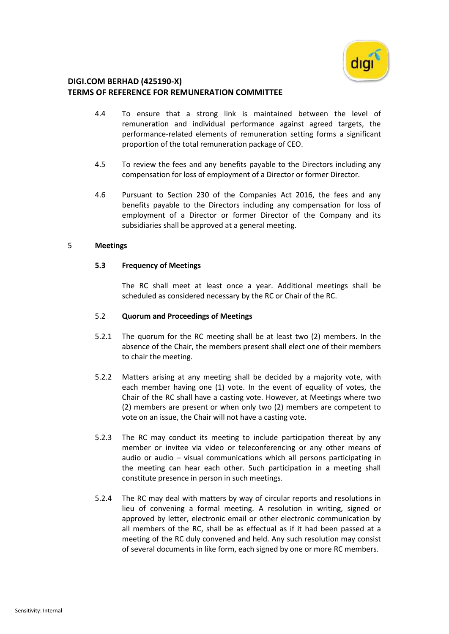

- 4.4 To ensure that a strong link is maintained between the level of remuneration and individual performance against agreed targets, the performance-related elements of remuneration setting forms a significant proportion of the total remuneration package of CEO.
- 4.5 To review the fees and any benefits payable to the Directors including any compensation for loss of employment of a Director or former Director.
- 4.6 Pursuant to Section 230 of the Companies Act 2016, the fees and any benefits payable to the Directors including any compensation for loss of employment of a Director or former Director of the Company and its subsidiaries shall be approved at a general meeting.

### 5 **Meetings**

## **5.3 Frequency of Meetings**

The RC shall meet at least once a year. Additional meetings shall be scheduled as considered necessary by the RC or Chair of the RC.

## 5.2 **Quorum and Proceedings of Meetings**

- 5.2.1 The quorum for the RC meeting shall be at least two (2) members. In the absence of the Chair, the members present shall elect one of their members to chair the meeting.
- 5.2.2 Matters arising at any meeting shall be decided by a majority vote, with each member having one (1) vote. In the event of equality of votes, the Chair of the RC shall have a casting vote. However, at Meetings where two (2) members are present or when only two (2) members are competent to vote on an issue, the Chair will not have a casting vote.
- 5.2.3 The RC may conduct its meeting to include participation thereat by any member or invitee via video or teleconferencing or any other means of audio or audio – visual communications which all persons participating in the meeting can hear each other. Such participation in a meeting shall constitute presence in person in such meetings.
- 5.2.4 The RC may deal with matters by way of circular reports and resolutions in lieu of convening a formal meeting. A resolution in writing, signed or approved by letter, electronic email or other electronic communication by all members of the RC, shall be as effectual as if it had been passed at a meeting of the RC duly convened and held. Any such resolution may consist of several documents in like form, each signed by one or more RC members.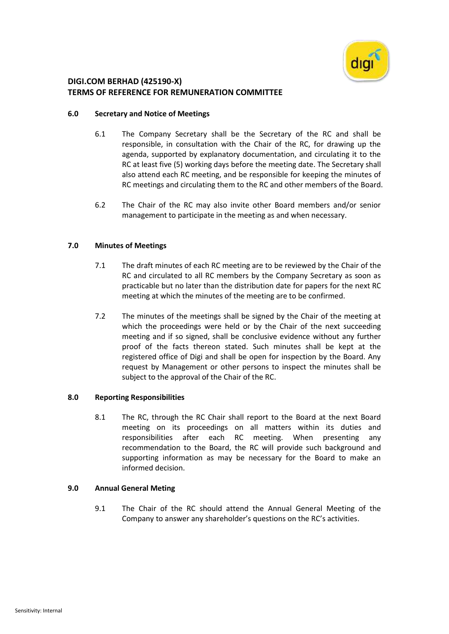

## **6.0 Secretary and Notice of Meetings**

- 6.1 The Company Secretary shall be the Secretary of the RC and shall be responsible, in consultation with the Chair of the RC, for drawing up the agenda, supported by explanatory documentation, and circulating it to the RC at least five (5) working days before the meeting date. The Secretary shall also attend each RC meeting, and be responsible for keeping the minutes of RC meetings and circulating them to the RC and other members of the Board.
- 6.2 The Chair of the RC may also invite other Board members and/or senior management to participate in the meeting as and when necessary.

## **7.0 Minutes of Meetings**

- 7.1 The draft minutes of each RC meeting are to be reviewed by the Chair of the RC and circulated to all RC members by the Company Secretary as soon as practicable but no later than the distribution date for papers for the next RC meeting at which the minutes of the meeting are to be confirmed.
- 7.2 The minutes of the meetings shall be signed by the Chair of the meeting at which the proceedings were held or by the Chair of the next succeeding meeting and if so signed, shall be conclusive evidence without any further proof of the facts thereon stated. Such minutes shall be kept at the registered office of Digi and shall be open for inspection by the Board. Any request by Management or other persons to inspect the minutes shall be subject to the approval of the Chair of the RC.

### **8.0 Reporting Responsibilities**

8.1 The RC, through the RC Chair shall report to the Board at the next Board meeting on its proceedings on all matters within its duties and responsibilities after each RC meeting. When presenting any recommendation to the Board, the RC will provide such background and supporting information as may be necessary for the Board to make an informed decision.

### **9.0 Annual General Meting**

9.1 The Chair of the RC should attend the Annual General Meeting of the Company to answer any shareholder's questions on the RC's activities.